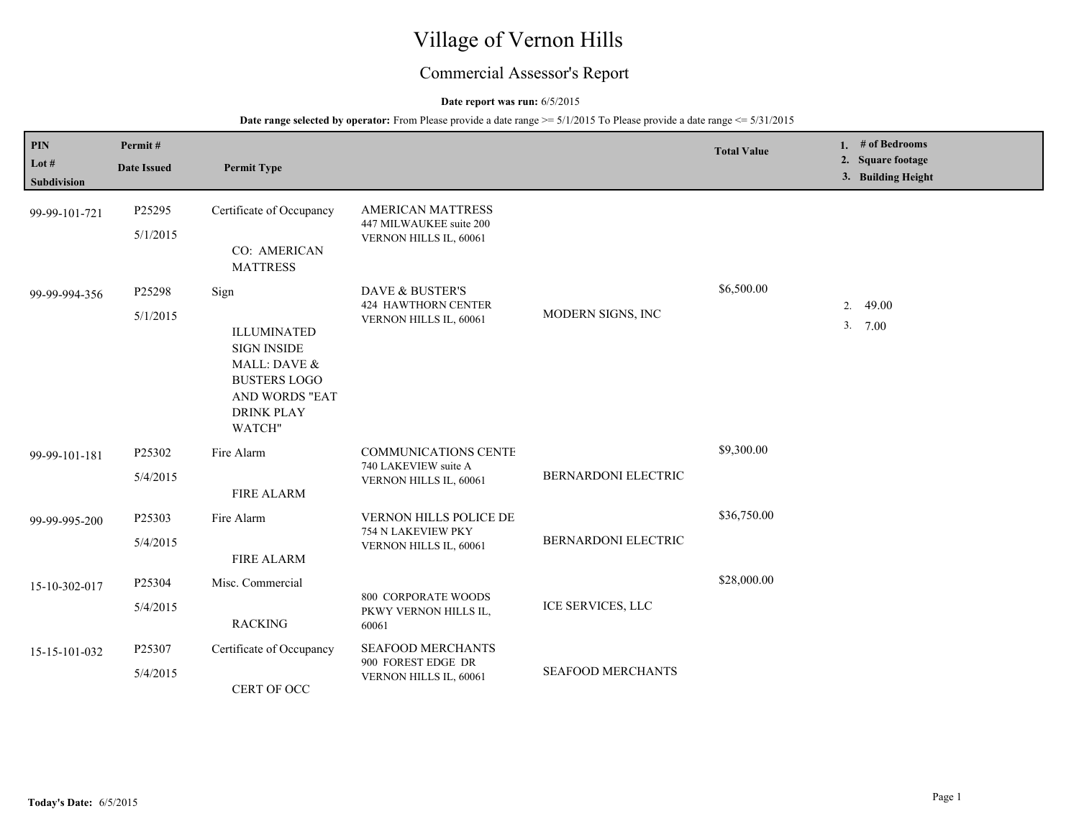# Village of Vernon Hills

## Commercial Assessor's Report

## **Date report was run:** 6/5/2015

| PIN<br>Lot $#$<br>Subdivision | Permit#<br><b>Date Issued</b> | <b>Permit Type</b>                                                                                                                       |                                                                               |                          | <b>Total Value</b> | 1. # of Bedrooms<br>2. Square footage<br>3. Building Height |
|-------------------------------|-------------------------------|------------------------------------------------------------------------------------------------------------------------------------------|-------------------------------------------------------------------------------|--------------------------|--------------------|-------------------------------------------------------------|
| 99-99-101-721                 | P25295<br>5/1/2015            | Certificate of Occupancy<br>CO: AMERICAN<br><b>MATTRESS</b>                                                                              | AMERICAN MATTRESS<br>447 MILWAUKEE suite 200<br>VERNON HILLS IL, 60061        |                          |                    |                                                             |
| 99-99-994-356                 | P25298<br>5/1/2015            | Sign<br><b>ILLUMINATED</b><br><b>SIGN INSIDE</b><br>MALL: DAVE &<br><b>BUSTERS LOGO</b><br>AND WORDS "EAT<br><b>DRINK PLAY</b><br>WATCH" | DAVE & BUSTER'S<br><b>424 HAWTHORN CENTER</b><br>VERNON HILLS IL, 60061       | MODERN SIGNS, INC        | \$6,500.00         | 2.<br>49.00<br>3.7.00                                       |
| 99-99-101-181                 | P25302<br>5/4/2015            | Fire Alarm<br><b>FIRE ALARM</b>                                                                                                          | <b>COMMUNICATIONS CENTE</b><br>740 LAKEVIEW suite A<br>VERNON HILLS IL, 60061 | BERNARDONI ELECTRIC      | \$9,300.00         |                                                             |
| 99-99-995-200                 | P25303<br>5/4/2015            | Fire Alarm<br><b>FIRE ALARM</b>                                                                                                          | VERNON HILLS POLICE DE<br>754 N LAKEVIEW PKY<br>VERNON HILLS IL, 60061        | BERNARDONI ELECTRIC      | \$36,750.00        |                                                             |
| 15-10-302-017                 | P25304<br>5/4/2015            | Misc. Commercial<br><b>RACKING</b>                                                                                                       | <b>800 CORPORATE WOODS</b><br>PKWY VERNON HILLS IL,<br>60061                  | ICE SERVICES, LLC        | \$28,000.00        |                                                             |
| 15-15-101-032                 | P25307<br>5/4/2015            | Certificate of Occupancy<br>CERT OF OCC                                                                                                  | SEAFOOD MERCHANTS<br>900 FOREST EDGE DR<br>VERNON HILLS IL, 60061             | <b>SEAFOOD MERCHANTS</b> |                    |                                                             |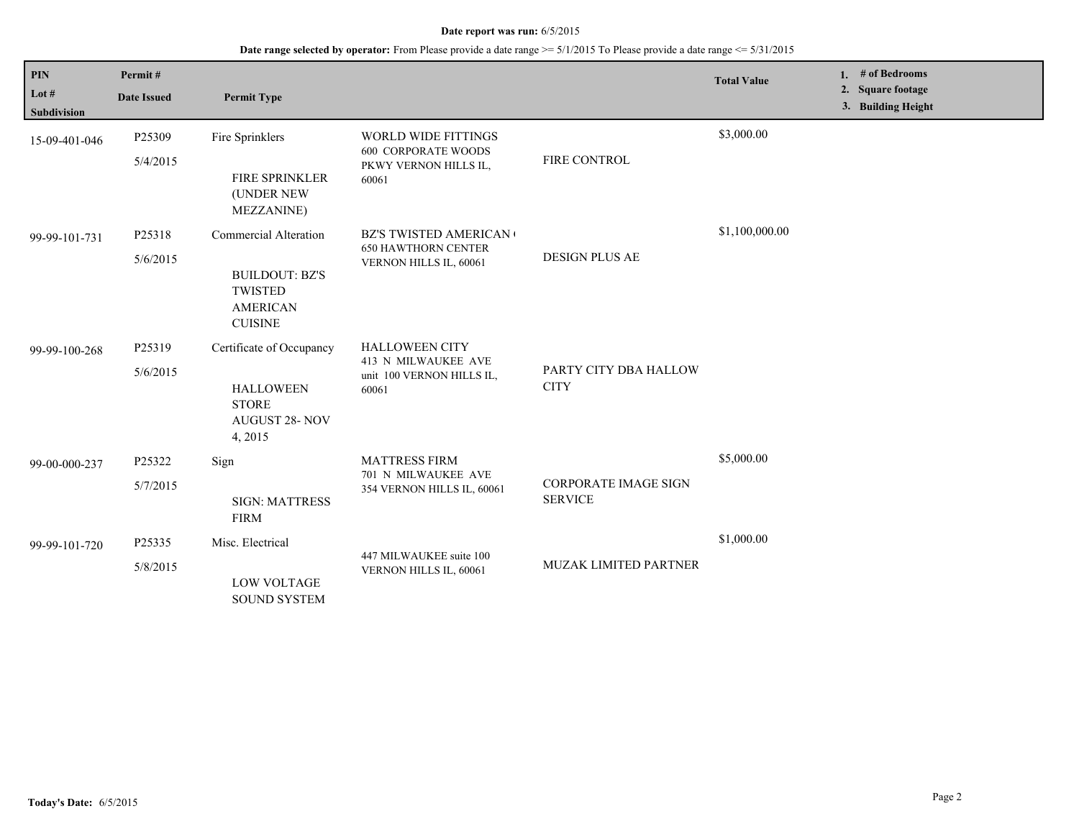| <b>PIN</b><br>Lot #<br><b>Subdivision</b> | Permit#<br><b>Date Issued</b> | <b>Permit Type</b>                                                                                    |                                                                                            |                                               | <b>Total Value</b> | 1. $#$ of Bedrooms<br>2. Square footage<br>3. Building Height |
|-------------------------------------------|-------------------------------|-------------------------------------------------------------------------------------------------------|--------------------------------------------------------------------------------------------|-----------------------------------------------|--------------------|---------------------------------------------------------------|
| 15-09-401-046                             | P25309<br>5/4/2015            | Fire Sprinklers<br>FIRE SPRINKLER<br>(UNDER NEW<br><b>MEZZANINE</b> )                                 | <b>WORLD WIDE FITTINGS</b><br><b>600 CORPORATE WOODS</b><br>PKWY VERNON HILLS IL,<br>60061 | FIRE CONTROL                                  | \$3,000.00         |                                                               |
| 99-99-101-731                             | P25318<br>5/6/2015            | Commercial Alteration<br><b>BUILDOUT: BZ'S</b><br><b>TWISTED</b><br><b>AMERICAN</b><br><b>CUISINE</b> | <b>BZ'S TWISTED AMERICAN</b><br><b>650 HAWTHORN CENTER</b><br>VERNON HILLS IL, 60061       | <b>DESIGN PLUS AE</b>                         | \$1,100,000.00     |                                                               |
| 99-99-100-268                             | P25319<br>5/6/2015            | Certificate of Occupancy<br><b>HALLOWEEN</b><br><b>STORE</b><br><b>AUGUST 28- NOV</b><br>4, 2015      | <b>HALLOWEEN CITY</b><br>413 N MILWAUKEE AVE<br>unit 100 VERNON HILLS IL,<br>60061         | PARTY CITY DBA HALLOW<br><b>CITY</b>          |                    |                                                               |
| 99-00-000-237                             | P25322<br>5/7/2015            | Sign<br><b>SIGN: MATTRESS</b><br><b>FIRM</b>                                                          | <b>MATTRESS FIRM</b><br>701 N MILWAUKEE AVE<br>354 VERNON HILLS IL, 60061                  | <b>CORPORATE IMAGE SIGN</b><br><b>SERVICE</b> | \$5,000.00         |                                                               |
| 99-99-101-720                             | P25335<br>5/8/2015            | Misc. Electrical<br><b>LOW VOLTAGE</b><br><b>SOUND SYSTEM</b>                                         | 447 MILWAUKEE suite 100<br>VERNON HILLS IL, 60061                                          | MUZAK LIMITED PARTNER                         | \$1,000.00         |                                                               |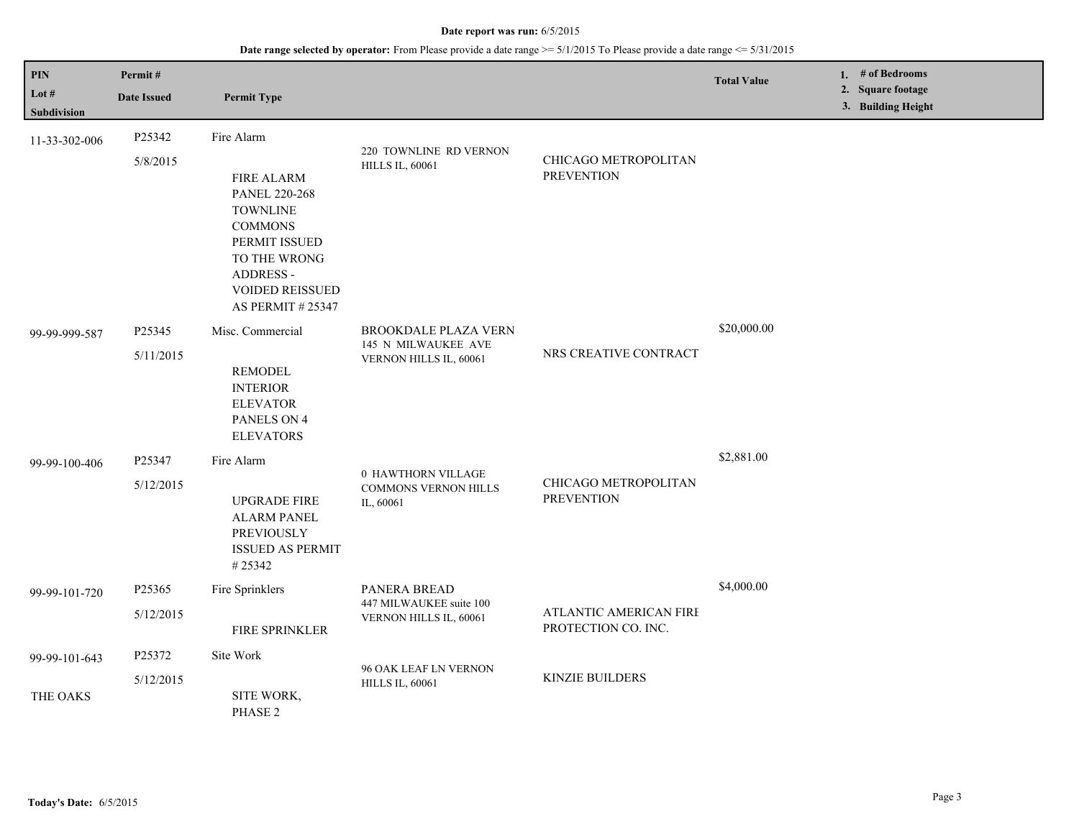## **Date range selected by operator:** From Please provide a date range >= 5/1/2015 To Please provide a date range <= 5/31/2015

| PIN<br>Lot #<br>Subdivision | Permit#<br><b>Date Issued</b> | <b>Permit Type</b>                                                                                                                                                                              |                                                                              |                                               | <b>Total Value</b> | 1. $#$ of Bedrooms<br>2. Square footage<br>3. Building Height |
|-----------------------------|-------------------------------|-------------------------------------------------------------------------------------------------------------------------------------------------------------------------------------------------|------------------------------------------------------------------------------|-----------------------------------------------|--------------------|---------------------------------------------------------------|
| 11-33-302-006               | P25342<br>5/8/2015            | Fire Alarm<br><b>FIRE ALARM</b><br><b>PANEL 220-268</b><br><b>TOWNLINE</b><br><b>COMMONS</b><br>PERMIT ISSUED<br>TO THE WRONG<br>ADDRESS -<br><b>VOIDED REISSUED</b><br><b>AS PERMIT #25347</b> | 220 TOWNLINE RD VERNON<br><b>HILLS IL, 60061</b>                             | CHICAGO METROPOLITAN<br><b>PREVENTION</b>     |                    |                                                               |
| 99-99-999-587               | P25345<br>5/11/2015           | Misc. Commercial<br><b>REMODEL</b><br><b>INTERIOR</b><br><b>ELEVATOR</b><br>PANELS ON 4<br><b>ELEVATORS</b>                                                                                     | <b>BROOKDALE PLAZA VERN</b><br>145 N MILWAUKEE AVE<br>VERNON HILLS IL, 60061 | NRS CREATIVE CONTRACT                         | \$20,000.00        |                                                               |
| 99-99-100-406               | P25347<br>5/12/2015           | Fire Alarm<br><b>UPGRADE FIRE</b><br><b>ALARM PANEL</b><br>PREVIOUSLY<br><b>ISSUED AS PERMIT</b><br>#25342                                                                                      | 0 HAWTHORN VILLAGE<br>COMMONS VERNON HILLS<br>IL, 60061                      | CHICAGO METROPOLITAN<br><b>PREVENTION</b>     | \$2,881.00         |                                                               |
| 99-99-101-720               | P25365<br>5/12/2015           | Fire Sprinklers<br>FIRE SPRINKLER                                                                                                                                                               | PANERA BREAD<br>447 MILWAUKEE suite 100<br>VERNON HILLS IL, 60061            | ATLANTIC AMERICAN FIRE<br>PROTECTION CO. INC. | \$4,000.00         |                                                               |
| 99-99-101-643               | P25372<br>5/12/2015           | Site Work                                                                                                                                                                                       | 96 OAK LEAF LN VERNON<br><b>HILLS IL, 60061</b>                              | <b>KINZIE BUILDERS</b>                        |                    |                                                               |
| THE OAKS                    |                               | SITE WORK,<br>PHASE <sub>2</sub>                                                                                                                                                                |                                                                              |                                               |                    |                                                               |

L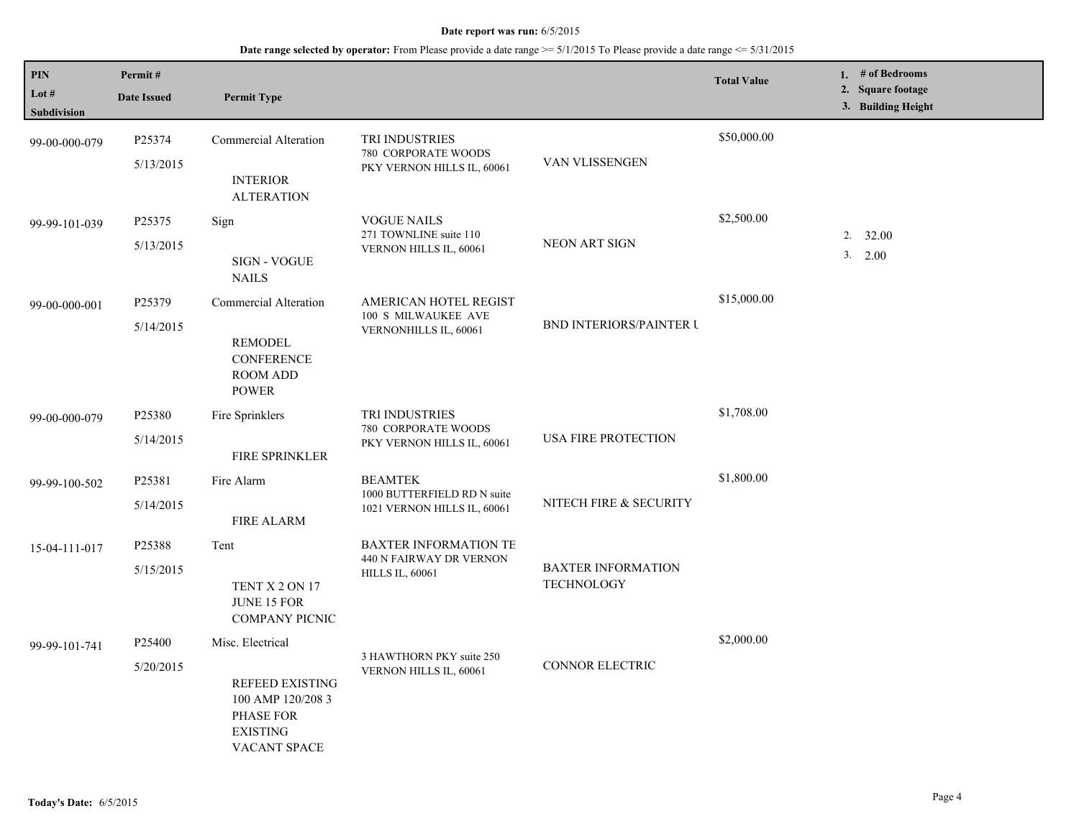| PIN<br>Lot $#$<br><b>Subdivision</b> | Permit#<br><b>Date Issued</b>   | <b>Permit Type</b>                                                                                              |                                                                                   |                                                | <b>Total Value</b> | 1. $#$ of Bedrooms<br>2. Square footage<br>3. Building Height |
|--------------------------------------|---------------------------------|-----------------------------------------------------------------------------------------------------------------|-----------------------------------------------------------------------------------|------------------------------------------------|--------------------|---------------------------------------------------------------|
| 99-00-000-079                        | P25374<br>5/13/2015             | Commercial Alteration<br><b>INTERIOR</b><br><b>ALTERATION</b>                                                   | TRI INDUSTRIES<br>780 CORPORATE WOODS<br>PKY VERNON HILLS IL, 60061               | VAN VLISSENGEN                                 | \$50,000.00        |                                                               |
| 99-99-101-039                        | P25375<br>5/13/2015             | Sign<br><b>SIGN - VOGUE</b><br><b>NAILS</b>                                                                     | <b>VOGUE NAILS</b><br>271 TOWNLINE suite 110<br>VERNON HILLS IL, 60061            | <b>NEON ART SIGN</b>                           | \$2,500.00         | $2. \quad 32.00$<br>3. 2.00                                   |
| 99-00-000-001                        | P25379<br>5/14/2015             | Commercial Alteration<br><b>REMODEL</b><br><b>CONFERENCE</b><br><b>ROOM ADD</b><br><b>POWER</b>                 | AMERICAN HOTEL REGIST<br>100 S MILWAUKEE AVE<br>VERNONHILLS IL, 60061             | <b>BND INTERIORS/PAINTER U</b>                 | \$15,000.00        |                                                               |
| 99-00-000-079                        | P25380<br>5/14/2015             | Fire Sprinklers<br><b>FIRE SPRINKLER</b>                                                                        | TRI INDUSTRIES<br>780 CORPORATE WOODS<br>PKY VERNON HILLS IL, 60061               | USA FIRE PROTECTION                            | \$1,708.00         |                                                               |
| 99-99-100-502                        | P <sub>25381</sub><br>5/14/2015 | Fire Alarm<br><b>FIRE ALARM</b>                                                                                 | <b>BEAMTEK</b><br>1000 BUTTERFIELD RD N suite<br>1021 VERNON HILLS IL, 60061      | NITECH FIRE & SECURITY                         | \$1,800.00         |                                                               |
| 15-04-111-017                        | P25388<br>5/15/2015             | Tent<br>TENT X 2 ON 17<br><b>JUNE 15 FOR</b><br><b>COMPANY PICNIC</b>                                           | <b>BAXTER INFORMATION TE</b><br>440 N FAIRWAY DR VERNON<br><b>HILLS IL, 60061</b> | <b>BAXTER INFORMATION</b><br><b>TECHNOLOGY</b> |                    |                                                               |
| 99-99-101-741                        | P <sub>25400</sub><br>5/20/2015 | Misc. Electrical<br><b>REFEED EXISTING</b><br>100 AMP 120/208 3<br>PHASE FOR<br><b>EXISTING</b><br>VACANT SPACE | 3 HAWTHORN PKY suite 250<br>VERNON HILLS IL, 60061                                | <b>CONNOR ELECTRIC</b>                         | \$2,000.00         |                                                               |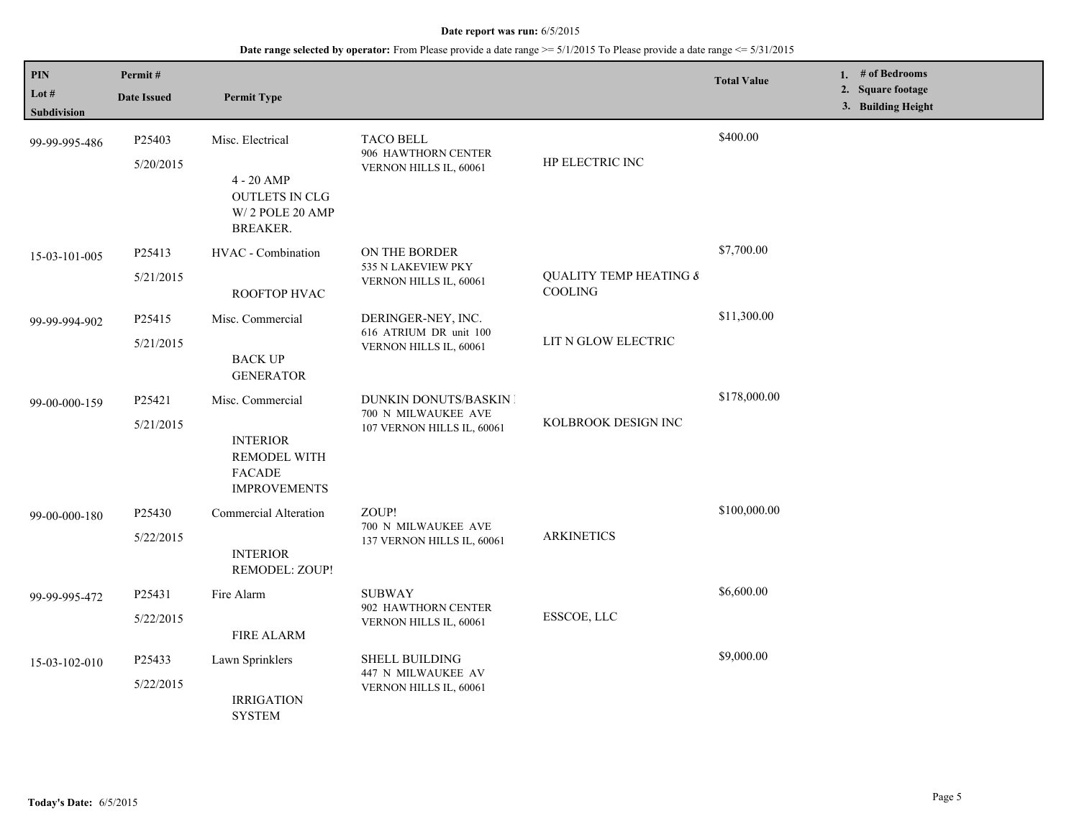| PIN<br>Lot #<br>Subdivision | Permit#<br><b>Date Issued</b> | <b>Permit Type</b>                                                                                 |                                                                                    |                                              | <b>Total Value</b> | 1. # of Bedrooms<br>2. Square footage<br>3. Building Height |
|-----------------------------|-------------------------------|----------------------------------------------------------------------------------------------------|------------------------------------------------------------------------------------|----------------------------------------------|--------------------|-------------------------------------------------------------|
| 99-99-995-486               | P25403<br>5/20/2015           | Misc. Electrical<br>$4 - 20$ AMP<br><b>OUTLETS IN CLG</b><br>W/2 POLE 20 AMP<br><b>BREAKER.</b>    | <b>TACO BELL</b><br>906 HAWTHORN CENTER<br>VERNON HILLS IL, 60061                  | HP ELECTRIC INC                              | \$400.00           |                                                             |
| 15-03-101-005               | P25413<br>5/21/2015           | HVAC - Combination<br>ROOFTOP HVAC                                                                 | ON THE BORDER<br>535 N LAKEVIEW PKY<br>VERNON HILLS IL, 60061                      | <b>QUALITY TEMP HEATING &amp;</b><br>COOLING | \$7,700.00         |                                                             |
| 99-99-994-902               | P25415<br>5/21/2015           | Misc. Commercial<br><b>BACK UP</b><br><b>GENERATOR</b>                                             | DERINGER-NEY, INC.<br>616 ATRIUM DR unit 100<br>VERNON HILLS IL, 60061             | LIT N GLOW ELECTRIC                          | \$11,300.00        |                                                             |
| 99-00-000-159               | P25421<br>5/21/2015           | Misc. Commercial<br><b>INTERIOR</b><br><b>REMODEL WITH</b><br><b>FACADE</b><br><b>IMPROVEMENTS</b> | <b>DUNKIN DONUTS/BASKIN I</b><br>700 N MILWAUKEE AVE<br>107 VERNON HILLS IL, 60061 | KOLBROOK DESIGN INC                          | \$178,000.00       |                                                             |
| 99-00-000-180               | P25430<br>5/22/2015           | Commercial Alteration<br><b>INTERIOR</b><br>REMODEL: ZOUP!                                         | ZOUP!<br>700 N MILWAUKEE AVE<br>137 VERNON HILLS IL, 60061                         | <b>ARKINETICS</b>                            | \$100,000.00       |                                                             |
| 99-99-995-472               | P25431<br>5/22/2015           | Fire Alarm<br><b>FIRE ALARM</b>                                                                    | <b>SUBWAY</b><br>902 HAWTHORN CENTER<br>VERNON HILLS IL, 60061                     | ESSCOE, LLC                                  | \$6,600.00         |                                                             |
| 15-03-102-010               | P25433<br>5/22/2015           | Lawn Sprinklers<br><b>IRRIGATION</b><br><b>SYSTEM</b>                                              | <b>SHELL BUILDING</b><br>447 N MILWAUKEE AV<br>VERNON HILLS IL, 60061              |                                              | \$9,000.00         |                                                             |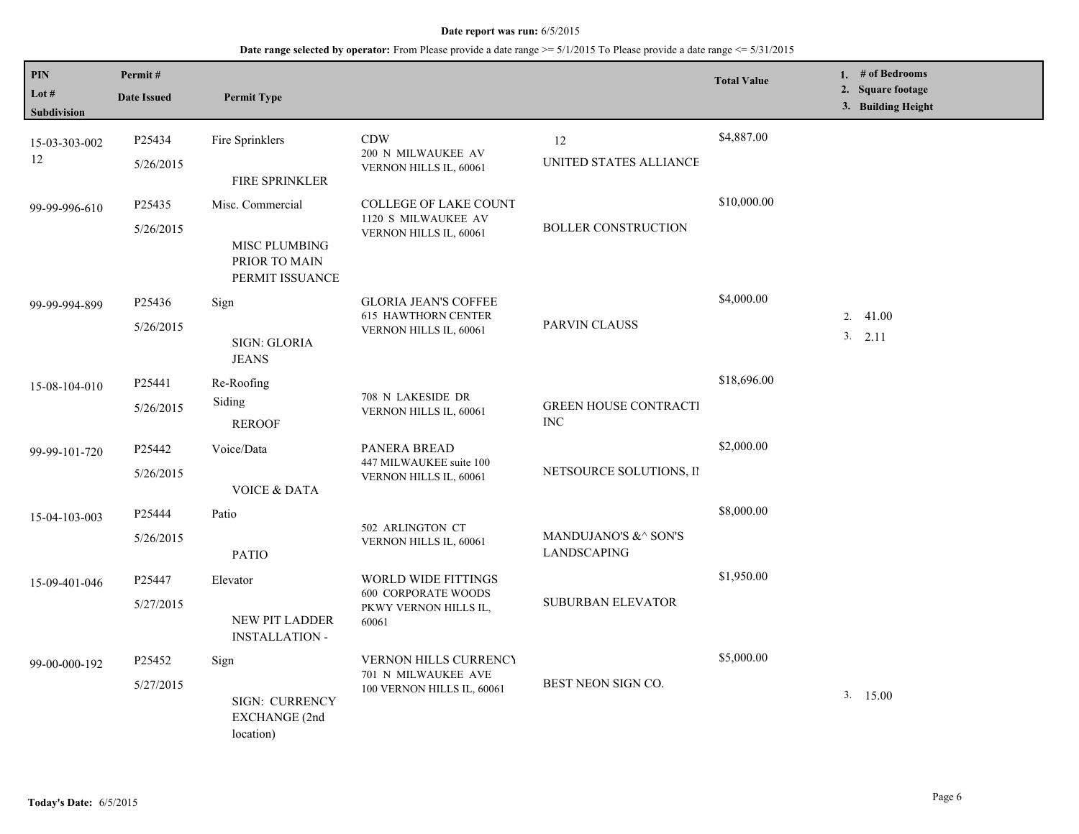| PIN<br>Lot $#$<br>Subdivision | Permit#<br><b>Date Issued</b>   | <b>Permit Type</b>                                                    |                                                                                     |                                            | <b>Total Value</b> | 1. $#$ of Bedrooms<br>2. Square footage<br>3. Building Height |
|-------------------------------|---------------------------------|-----------------------------------------------------------------------|-------------------------------------------------------------------------------------|--------------------------------------------|--------------------|---------------------------------------------------------------|
| 15-03-303-002<br>12           | P25434<br>5/26/2015             | Fire Sprinklers<br>FIRE SPRINKLER                                     | <b>CDW</b><br>200 N MILWAUKEE AV<br>VERNON HILLS IL, 60061                          | 12<br>UNITED STATES ALLIANCE               | \$4,887.00         |                                                               |
| 99-99-996-610                 | P25435<br>5/26/2015             | Misc. Commercial<br>MISC PLUMBING<br>PRIOR TO MAIN<br>PERMIT ISSUANCE | <b>COLLEGE OF LAKE COUNT</b><br>1120 S MILWAUKEE AV<br>VERNON HILLS IL, 60061       | <b>BOLLER CONSTRUCTION</b>                 | \$10,000.00        |                                                               |
| 99-99-994-899                 | P25436<br>5/26/2015             | Sign<br>SIGN: GLORIA<br><b>JEANS</b>                                  | <b>GLORIA JEAN'S COFFEE</b><br><b>615 HAWTHORN CENTER</b><br>VERNON HILLS IL, 60061 | PARVIN CLAUSS                              | \$4,000.00         | 2.41.00<br>3. 2.11                                            |
| 15-08-104-010                 | P25441<br>5/26/2015             | Re-Roofing<br>Siding<br><b>REROOF</b>                                 | 708 N LAKESIDE DR<br>VERNON HILLS IL, 60061                                         | <b>GREEN HOUSE CONTRACTI</b><br><b>INC</b> | \$18,696.00        |                                                               |
| 99-99-101-720                 | P25442<br>5/26/2015             | Voice/Data<br><b>VOICE &amp; DATA</b>                                 | PANERA BREAD<br>447 MILWAUKEE suite 100<br>VERNON HILLS IL, 60061                   | NETSOURCE SOLUTIONS, II                    | \$2,000.00         |                                                               |
| 15-04-103-003                 | P25444<br>5/26/2015             | Patio<br><b>PATIO</b>                                                 | 502 ARLINGTON CT<br>VERNON HILLS IL, 60061                                          | MANDUJANO'S &^ SON'S<br><b>LANDSCAPING</b> | \$8,000.00         |                                                               |
| 15-09-401-046                 | P25447<br>5/27/2015             | Elevator<br><b>NEW PIT LADDER</b><br><b>INSTALLATION -</b>            | WORLD WIDE FITTINGS<br><b>600 CORPORATE WOODS</b><br>PKWY VERNON HILLS IL,<br>60061 | SUBURBAN ELEVATOR                          | \$1,950.00         |                                                               |
| 99-00-000-192                 | P <sub>25452</sub><br>5/27/2015 | Sign<br><b>SIGN: CURRENCY</b><br>EXCHANGE (2nd<br>location)           | <b>VERNON HILLS CURRENCY</b><br>701 N MILWAUKEE AVE<br>100 VERNON HILLS IL, 60061   | BEST NEON SIGN CO.                         | \$5,000.00         | 3.15.00                                                       |